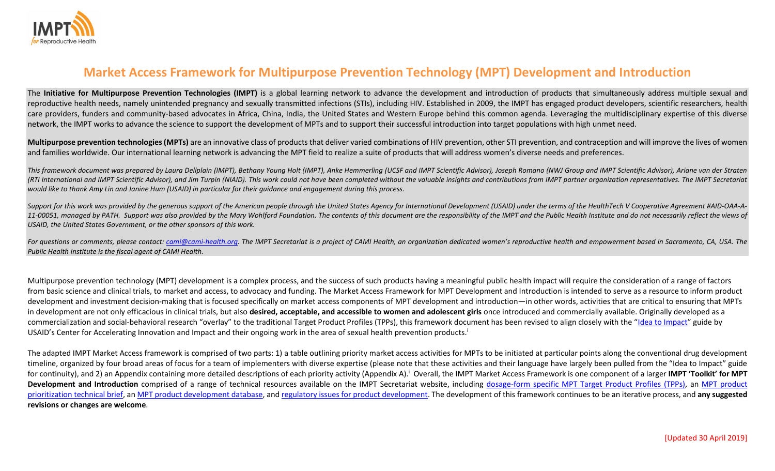

# Market Access Framework for Multipurpose Prevention Technology (MPT) Development and Introduction

The Initiative for Multipurpose Prevention Technologies (IMPT) is a global learning network to advance the development and introduction of products that simultaneously address multiple sexual and reproductive health needs, namely unintended pregnancy and sexually transmitted infections (STIs), including HIV. Established in 2009, the IMPT has engaged product developers, scientific researchers, health care providers, funders and community-based advocates in Africa, China, India, the United States and Western Europe behind this common agenda. Leveraging the multidisciplinary expertise of this diverse network, the IMPT works to advance the science to support the development of MPTs and to support their successful introduction into target populations with high unmet need.

Multipurpose prevention technologies (MPTs) are an innovative class of products that deliver varied combinations of HIV prevention, other STI prevention, and contraception and will improve the lives of women and families worldwide. Our international learning network is advancing the MPT field to realize a suite of products that will address women's diverse needs and preferences.

This framework document was prepared by Laura Dellplain (IMPT), Bethany Young Holt (IMPT), Anke Hemmerling (UCSF and IMPT Scientific Advisor), Joseph Romano (NWJ Group and IMPT Scientific Advisor), Ariane van der Straten (RTI International and IMPT Scientific Advisor), and Jim Turpin (NIAID). This work could not have been completed without the valuable insights and contributions from IMPT partner organization representatives. The IMPT Secr would like to thank Amy Lin and Janine Hum (USAID) in particular for their guidance and engagement during this process.

Support for this work was provided by the generous support of the American people through the United States Agency for International Development (USAID) under the terms of the HealthTech V Cooperative Agreement #AID-OAA-A-11-00051, managed by PATH. Support was also provided by the Mary Wohlford Foundation. The contents of this document are the responsibility of the IMPT and the Public Health Institute and do not necessarily reflect the view USAID, the United States Government, or the other sponsors of this work.

For questions or comments, please contact: cami@cami-health.org. The IMPT Secretariat is a project of CAMI Health, an organization dedicated women's reproductive health and empowerment based in Sacramento, CA, USA. The Public Health Institute is the fiscal agent of CAMI Health.

Multipurpose prevention technology (MPT) development is a complex process, and the success of such products having a meaningful public health impact will require the consideration of a range of factors from basic science and clinical trials, to market and access, to advocacy and funding. The Market Access Framework for MPT Development and Introduction is intended to serve as a resource to inform product development and investment decision-making that is focused specifically on market access components of MPT development and introduction—in other words, activities that are critical to ensuring that MPTs in development are not only efficacious in clinical trials, but also desired, acceptable, and accessible to women and adolescent girls once introduced and commercially available. Originally developed as a commercialization and social-behavioral research "overlay" to the traditional Target Product Profiles (TPPs), this framework document has been revised to align closely with the "Idea to Impact" guide by USAID's Center for Accelerating Innovation and Impact and their ongoing work in the area of sexual health prevention products.<sup>i</sup>

The adapted IMPT Market Access framework is comprised of two parts: 1) a table outlining priority market access activities for MPTs to be initiated at particular points along the conventional drug development timeline, organized by four broad areas of focus for a team of implementers with diverse expertise (please note that these activities and their language have largely been pulled from the "Idea to Impact" guide for continuity), and 2) an Appendix containing more detailed descriptions of each priority activity (Appendix A).<sup>1</sup> Overall, the IMPT Market Access Framework is one component of a larger IMPT 'Toolkit' for MPT Development and Introduction comprised of a range of technical resources available on the IMPT Secretariat website, including dosage-form specific MPT Target Product Profiles (TPPs), an MPT product prioritization technical brief, an MPT product development database, and regulatory issues for product development. The development of this framework continues to be an iterative process, and any suggested revisions or changes are welcome.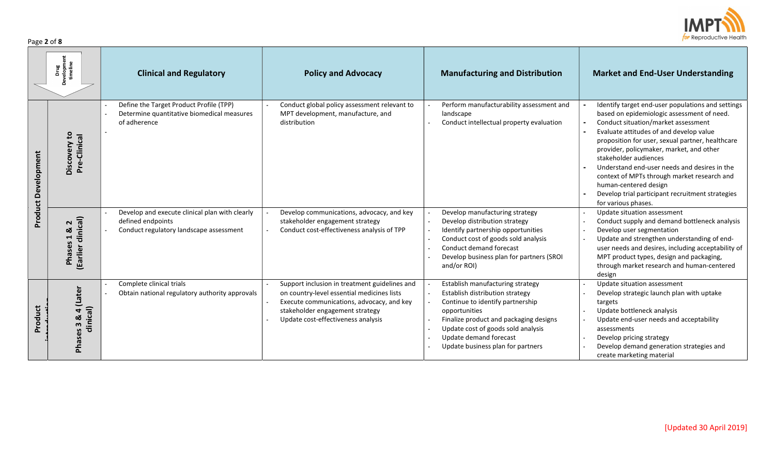

| Page 2 of 8 |  |  |  |  |
|-------------|--|--|--|--|
|-------------|--|--|--|--|

|                            | evelopment<br>timeline<br>Drug<br>ă                        | <b>Clinical and Regulatory</b>                                                                                 | <b>Policy and Advocacy</b>                                                                                                                                                                                        | <b>Manufacturing and Distribution</b>                                                                                                                                                                                                                                   | <b>Market and End-User Understanding</b>                                                                                                                                                                                                                                                                                                                                                                                                                                                                      |
|----------------------------|------------------------------------------------------------|----------------------------------------------------------------------------------------------------------------|-------------------------------------------------------------------------------------------------------------------------------------------------------------------------------------------------------------------|-------------------------------------------------------------------------------------------------------------------------------------------------------------------------------------------------------------------------------------------------------------------------|---------------------------------------------------------------------------------------------------------------------------------------------------------------------------------------------------------------------------------------------------------------------------------------------------------------------------------------------------------------------------------------------------------------------------------------------------------------------------------------------------------------|
| <b>Product Development</b> | $\mathbf{c}$<br>Pre-Clinical<br>Discovery                  | Define the Target Product Profile (TPP)<br>Determine quantitative biomedical measures<br>of adherence          | Conduct global policy assessment relevant to<br>MPT development, manufacture, and<br>distribution                                                                                                                 | Perform manufacturability assessment and<br>landscape<br>Conduct intellectual property evaluation                                                                                                                                                                       | Identify target end-user populations and settings<br>based on epidemiologic assessment of need.<br>Conduct situation/market assessment<br>Evaluate attitudes of and develop value<br>proposition for user, sexual partner, healthcare<br>provider, policymaker, market, and other<br>stakeholder audiences<br>Understand end-user needs and desires in the<br>context of MPTs through market research and<br>human-centered design<br>Develop trial participant recruitment strategies<br>for various phases. |
|                            | clinical)<br>$\sim$<br>ఱ<br>1<br><b>Phases</b><br>(Earlier | Develop and execute clinical plan with clearly<br>defined endpoints<br>Conduct regulatory landscape assessment | Develop communications, advocacy, and key<br>stakeholder engagement strategy<br>Conduct cost-effectiveness analysis of TPP                                                                                        | Develop manufacturing strategy<br>Develop distribution strategy<br>Identify partnership opportunities<br>Conduct cost of goods sold analysis<br>Conduct demand forecast<br>Develop business plan for partners (SROI<br>and/or ROI)                                      | Update situation assessment<br>Conduct supply and demand bottleneck analysis<br>Develop user segmentation<br>Update and strengthen understanding of end-<br>user needs and desires, including acceptability of<br>MPT product types, design and packaging,<br>through market research and human-centered<br>design                                                                                                                                                                                            |
| Product                    | ater<br>clinical)<br>m<br>둔                                | Complete clinical trials<br>Obtain national regulatory authority approvals                                     | Support inclusion in treatment guidelines and<br>on country-level essential medicines lists<br>Execute communications, advocacy, and key<br>stakeholder engagement strategy<br>Update cost-effectiveness analysis | Establish manufacturing strategy<br>Establish distribution strategy<br>Continue to identify partnership<br>opportunities<br>Finalize product and packaging designs<br>Update cost of goods sold analysis<br>Update demand forecast<br>Update business plan for partners | Update situation assessment<br>Develop strategic launch plan with uptake<br>targets<br>Update bottleneck analysis<br>Update end-user needs and acceptability<br>assessments<br>Develop pricing strategy<br>Develop demand generation strategies and<br>create marketing material                                                                                                                                                                                                                              |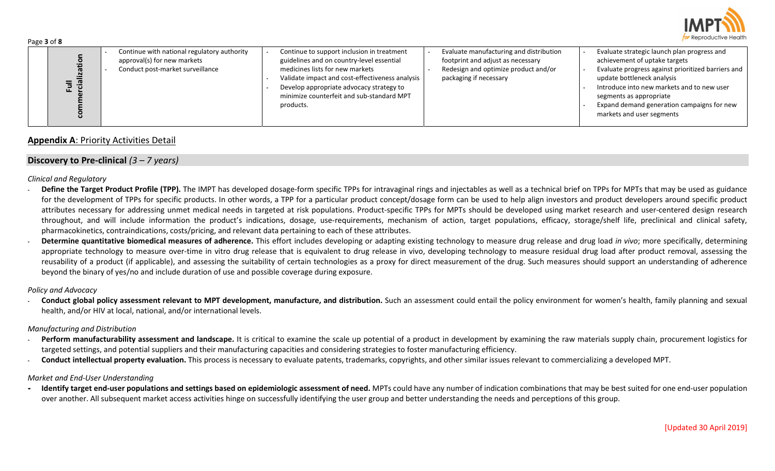

| Page 3 of 8                                                                                                                                                                                                                                                                                                                                                                                                                                                                                                                                                                                                                                                                                                                                                                                                                                                                                                                                                                                                                                                                                                                                                                                                                                                                                                                                                                                                                                                                                                                                                                                                                                                                                                                   |                                                                                                                                                                                                                                                                                     |                                                                                                                                                |                                                                                                                                                                                                                                                                                                                      |  |  |  |  |
|-------------------------------------------------------------------------------------------------------------------------------------------------------------------------------------------------------------------------------------------------------------------------------------------------------------------------------------------------------------------------------------------------------------------------------------------------------------------------------------------------------------------------------------------------------------------------------------------------------------------------------------------------------------------------------------------------------------------------------------------------------------------------------------------------------------------------------------------------------------------------------------------------------------------------------------------------------------------------------------------------------------------------------------------------------------------------------------------------------------------------------------------------------------------------------------------------------------------------------------------------------------------------------------------------------------------------------------------------------------------------------------------------------------------------------------------------------------------------------------------------------------------------------------------------------------------------------------------------------------------------------------------------------------------------------------------------------------------------------|-------------------------------------------------------------------------------------------------------------------------------------------------------------------------------------------------------------------------------------------------------------------------------------|------------------------------------------------------------------------------------------------------------------------------------------------|----------------------------------------------------------------------------------------------------------------------------------------------------------------------------------------------------------------------------------------------------------------------------------------------------------------------|--|--|--|--|
| Continue with national regulatory authority<br>commercialization<br>approval(s) for new markets<br>Conduct post-market surveillance<br><b>Full</b>                                                                                                                                                                                                                                                                                                                                                                                                                                                                                                                                                                                                                                                                                                                                                                                                                                                                                                                                                                                                                                                                                                                                                                                                                                                                                                                                                                                                                                                                                                                                                                            | Continue to support inclusion in treatment<br>guidelines and on country-level essential<br>medicines lists for new markets<br>Validate impact and cost-effectiveness analysis<br>Develop appropriate advocacy strategy to<br>minimize counterfeit and sub-standard MPT<br>products. | Evaluate manufacturing and distribution<br>footprint and adjust as necessary<br>Redesign and optimize product and/or<br>packaging if necessary | Evaluate strategic launch plan progress and<br>achievement of uptake targets<br>Evaluate progress against prioritized barriers and<br>update bottleneck analysis<br>Introduce into new markets and to new user<br>segments as appropriate<br>Expand demand generation campaigns for new<br>markets and user segments |  |  |  |  |
| <b>Appendix A: Priority Activities Detail</b>                                                                                                                                                                                                                                                                                                                                                                                                                                                                                                                                                                                                                                                                                                                                                                                                                                                                                                                                                                                                                                                                                                                                                                                                                                                                                                                                                                                                                                                                                                                                                                                                                                                                                 |                                                                                                                                                                                                                                                                                     |                                                                                                                                                |                                                                                                                                                                                                                                                                                                                      |  |  |  |  |
| Discovery to Pre-clinical $(3 – 7 years)$                                                                                                                                                                                                                                                                                                                                                                                                                                                                                                                                                                                                                                                                                                                                                                                                                                                                                                                                                                                                                                                                                                                                                                                                                                                                                                                                                                                                                                                                                                                                                                                                                                                                                     |                                                                                                                                                                                                                                                                                     |                                                                                                                                                |                                                                                                                                                                                                                                                                                                                      |  |  |  |  |
| <b>Clinical and Regulatory</b><br>Define the Target Product Profile (TPP). The IMPT has developed dosage-form specific TPPs for intravaginal rings and injectables as well as a technical brief on TPPs for MPTs that may be used as guidance<br>for the development of TPPs for specific products. In other words, a TPP for a particular product concept/dosage form can be used to help align investors and product developers around specific product<br>attributes necessary for addressing unmet medical needs in targeted at risk populations. Product-specific TPPs for MPTs should be developed using market research and user-centered design research<br>throughout, and will include information the product's indications, dosage, use-requirements, mechanism of action, target populations, efficacy, storage/shelf life, preclinical and clinical safety,<br>pharmacokinetics, contraindications, costs/pricing, and relevant data pertaining to each of these attributes.<br>Determine quantitative biomedical measures of adherence. This effort includes developing or adapting existing technology to measure drug release and drug load in vivo; more specifically, determining<br>appropriate technology to measure over-time in vitro drug release that is equivalent to drug release in vivo, developing technology to measure residual drug load after product removal, assessing the<br>reusability of a product (if applicable), and assessing the suitability of certain technologies as a proxy for direct measurement of the drug. Such measures should support an understanding of adherence<br>beyond the binary of yes/no and include duration of use and possible coverage during exposure. |                                                                                                                                                                                                                                                                                     |                                                                                                                                                |                                                                                                                                                                                                                                                                                                                      |  |  |  |  |
| Policy and Advocacy<br>Conduct global policy assessment relevant to MPT development, manufacture, and distribution. Such an assessment could entail the policy environment for women's health, family planning and sexual<br>health, and/or HIV at local, national, and/or international levels.                                                                                                                                                                                                                                                                                                                                                                                                                                                                                                                                                                                                                                                                                                                                                                                                                                                                                                                                                                                                                                                                                                                                                                                                                                                                                                                                                                                                                              |                                                                                                                                                                                                                                                                                     |                                                                                                                                                |                                                                                                                                                                                                                                                                                                                      |  |  |  |  |
| Manufacturing and Distribution<br>Perform manufacturability assessment and landscape. It is critical to examine the scale up potential of a product in development by examining the raw materials supply chain, procurement logistics for<br>targeted settings, and potential suppliers and their manufacturing capacities and considering strategies to foster manufacturing efficiency.<br>Conduct intellectual property evaluation. This process is necessary to evaluate patents, trademarks, copyrights, and other similar issues relevant to commercializing a developed MPT.                                                                                                                                                                                                                                                                                                                                                                                                                                                                                                                                                                                                                                                                                                                                                                                                                                                                                                                                                                                                                                                                                                                                           |                                                                                                                                                                                                                                                                                     |                                                                                                                                                |                                                                                                                                                                                                                                                                                                                      |  |  |  |  |
| Market and End-User Understanding<br>Identify target end-user populations and settings based on epidemiologic assessment of need. MPTs could have any number of indication combinations that may be best suited for one end-user population<br>over another. All subsequent market access activities hinge on successfully identifying the user group and better understanding the needs and perceptions of this group.                                                                                                                                                                                                                                                                                                                                                                                                                                                                                                                                                                                                                                                                                                                                                                                                                                                                                                                                                                                                                                                                                                                                                                                                                                                                                                       |                                                                                                                                                                                                                                                                                     |                                                                                                                                                |                                                                                                                                                                                                                                                                                                                      |  |  |  |  |
|                                                                                                                                                                                                                                                                                                                                                                                                                                                                                                                                                                                                                                                                                                                                                                                                                                                                                                                                                                                                                                                                                                                                                                                                                                                                                                                                                                                                                                                                                                                                                                                                                                                                                                                               |                                                                                                                                                                                                                                                                                     |                                                                                                                                                | [Updated 30 April 2019]                                                                                                                                                                                                                                                                                              |  |  |  |  |

## Appendix A: Priority Activities Detail

## Discovery to Pre-clinical  $(3 – 7 years)$

- Define the Target Product Profile (TPP). The IMPT has developed dosage-form specific TPPs for intravaginal rings and injectables as well as a technical brief on TPPs for MPTs that may be used as guidance for the development of TPPs for specific products. In other words, a TPP for a particular product concept/dosage form can be used to help align investors and product developers around specific product attributes necessary for addressing unmet medical needs in targeted at risk populations. Product-specific TPPs for MPTs should be developed using market research and user-centered design research throughout, and will include information the product's indications, dosage, use-requirements, mechanism of action, target populations, efficacy, storage/shelf life, preclinical and clinical safety, pharmacokinetics, contraindications, costs/pricing, and relevant data pertaining to each of these attributes.
- Determine quantitative biomedical measures of adherence. This effort includes developing or adapting existing technology to measure drug release and drug load in vivo; more specifically, determining appropriate technology to measure over-time in vitro drug release that is equivalent to drug release in vivo, developing technology to measure residual drug load after product removal, assessing the reusability of a product (if applicable), and assessing the suitability of certain technologies as a proxy for direct measurement of the drug. Such measures should support an understanding of adherence beyond the binary of yes/no and include duration of use and possible coverage during exposure.

### Policy and Advocacy

#### Manufacturing and Distribution

- Perform manufacturability assessment and landscape. It is critical to examine the scale up potential of a product in development by examining the raw materials supply chain, procurement logistics for targeted settings, and potential suppliers and their manufacturing capacities and considering strategies to foster manufacturing efficiency.
- Conduct intellectual property evaluation. This process is necessary to evaluate patents, trademarks, copyrights, and other similar issues relevant to commercializing a developed MPT.

### Market and End-User Understanding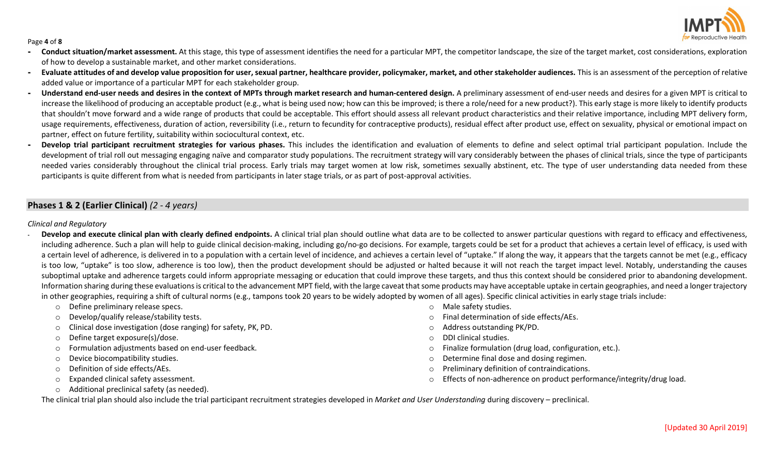

#### Page 4 of 8

- Conduct situation/market assessment. At this stage, this type of assessment identifies the need for a particular MPT, the competitor landscape, the size of the target market, cost considerations, exploration of how to develop a sustainable market, and other market considerations.
- Evaluate attitudes of and develop value proposition for user, sexual partner, healthcare provider, policymaker, market, and other stakeholder audiences. This is an assessment of the perception of relative added value or importance of a particular MPT for each stakeholder group.
- Understand end-user needs and desires in the context of MPTs through market research and human-centered design. A preliminary assessment of end-user needs and desires for a given MPT is critical to increase the likelihood of producing an acceptable product (e.g., what is being used now; how can this be improved; is there a role/need for a new product?). This early stage is more likely to identify products that shouldn't move forward and a wide range of products that could be acceptable. This effort should assess all relevant product characteristics and their relative importance, including MPT delivery form, usage requirements, effectiveness, duration of action, reversibility (i.e., return to fecundity for contraceptive products), residual effect after product use, effect on sexuality, physical or emotional impact on partner, effect on future fertility, suitability within sociocultural context, etc.
- Develop trial participant recruitment strategies for various phases. This includes the identification and evaluation of elements to define and select optimal trial participant population. Include the development of trial roll out messaging engaging naïve and comparator study populations. The recruitment strategy will vary considerably between the phases of clinical trials, since the type of participants needed varies considerably throughout the clinical trial process. Early trials may target women at low risk, sometimes sexually abstinent, etc. The type of user understanding data needed from these participants is quite different from what is needed from participants in later stage trials, or as part of post-approval activities.

# Phases 1 & 2 (Earlier Clinical) (2 - 4 years)

#### Clinical and Regulatory

- Develop and execute clinical plan with clearly defined endpoints. A clinical trial plan should outline what data are to be collected to answer particular questions with regard to efficacy and effectiveness, including adherence. Such a plan will help to guide clinical decision-making, including go/no-go decisions. For example, targets could be set for a product that achieves a certain level of efficacy, is used with a certain level of adherence, is delivered in to a population with a certain level of incidence, and achieves a certain level of "uptake." If along the way, it appears that the targets cannot be met (e.g., efficacy is too low, "uptake" is too slow, adherence is too low), then the product development should be adjusted or halted because it will not reach the target impact level. Notably, understanding the causes suboptimal uptake and adherence targets could inform appropriate messaging or education that could improve these targets, and thus this context should be considered prior to abandoning development. Information sharing during these evaluations is critical to the advancement MPT field, with the large caveat that some products may have acceptable uptake in certain geographies, and need a longer trajectory in other geographies, requiring a shift of cultural norms (e.g., tampons took 20 years to be widely adopted by women of all ages). Specific clinical activities in early stage trials include:
	- o Define preliminary release specs.
	- o Develop/qualify release/stability tests.
	- o Clinical dose investigation (dose ranging) for safety, PK, PD.
	- o Define target exposure(s)/dose.
	- o Formulation adjustments based on end-user feedback.
	- o Device biocompatibility studies.
	- o Definition of side effects/AEs.
	- o Expanded clinical safety assessment.
	- o Additional preclinical safety (as needed).
- o Male safety studies.
- o Final determination of side effects/AEs.
- o Address outstanding PK/PD.
- o DDI clinical studies.
- o Finalize formulation (drug load, configuration, etc.).
- o Determine final dose and dosing regimen.
- o Preliminary definition of contraindications.
- o Effects of non-adherence on product performance/integrity/drug load.

The clinical trial plan should also include the trial participant recruitment strategies developed in Market and User Understanding during discovery – preclinical.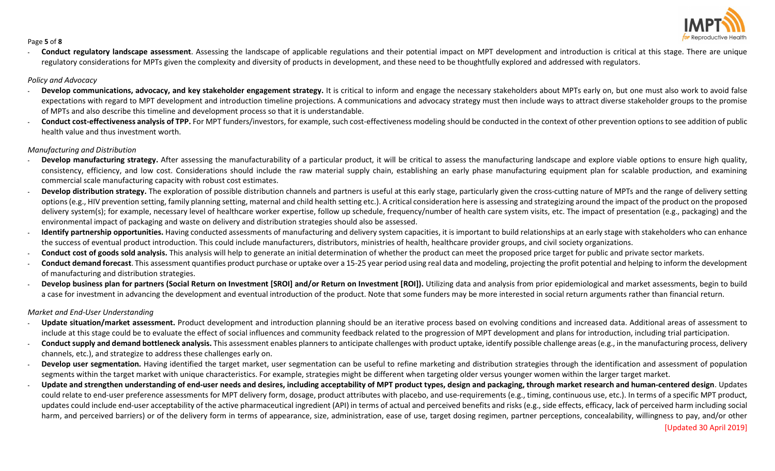

#### Page 5 of 8

Conduct regulatory landscape assessment. Assessing the landscape of applicable regulations and their potential impact on MPT development and introduction is critical at this stage. There are unique regulatory considerations for MPTs given the complexity and diversity of products in development, and these need to be thoughtfully explored and addressed with regulators.

## Policy and Advocacy

- Develop communications, advocacy, and key stakeholder engagement strategy. It is critical to inform and engage the necessary stakeholders about MPTs early on, but one must also work to avoid false expectations with regard to MPT development and introduction timeline projections. A communications and advocacy strategy must then include ways to attract diverse stakeholder groups to the promise of MPTs and also describe this timeline and development process so that it is understandable.
- Conduct cost-effectiveness analysis of TPP. For MPT funders/investors, for example, such cost-effectiveness modeling should be conducted in the context of other prevention options to see addition of public health value and thus investment worth.

## Manufacturing and Distribution

- Develop manufacturing strategy. After assessing the manufacturability of a particular product, it will be critical to assess the manufacturing landscape and explore viable options to ensure high quality, consistency, efficiency, and low cost. Considerations should include the raw material supply chain, establishing an early phase manufacturing equipment plan for scalable production, and examining commercial scale manufacturing capacity with robust cost estimates.
- Develop distribution strategy. The exploration of possible distribution channels and partners is useful at this early stage, particularly given the cross-cutting nature of MPTs and the range of delivery setting options (e.g., HIV prevention setting, family planning setting, maternal and child health setting etc.). A critical consideration here is assessing and strategizing around the impact of the product on the proposed delivery system(s); for example, necessary level of healthcare worker expertise, follow up schedule, frequency/number of health care system visits, etc. The impact of presentation (e.g., packaging) and the environmental impact of packaging and waste on delivery and distribution strategies should also be assessed.
- Identify partnership opportunities. Having conducted assessments of manufacturing and delivery system capacities, it is important to build relationships at an early stage with stakeholders who can enhance the success of eventual product introduction. This could include manufacturers, distributors, ministries of health, healthcare provider groups, and civil society organizations.
- Conduct cost of goods sold analysis. This analysis will help to generate an initial determination of whether the product can meet the proposed price target for public and private sector markets.
- Conduct demand forecast. This assessment quantifies product purchase or uptake over a 15-25 year period using real data and modeling, projecting the profit potential and helping to inform the development of manufacturing and distribution strategies.
- Develop business plan for partners (Social Return on Investment [SROI] and/or Return on Investment [ROI]). Utilizing data and analysis from prior epidemiological and market assessments, begin to build a case for investment in advancing the development and eventual introduction of the product. Note that some funders may be more interested in social return arguments rather than financial return.

## Market and End-User Understanding

- Update situation/market assessment. Product development and introduction planning should be an iterative process based on evolving conditions and increased data. Additional areas of assessment to include at this stage could be to evaluate the effect of social influences and community feedback related to the progression of MPT development and plans for introduction, including trial participation.
- Conduct supply and demand bottleneck analysis. This assessment enables planners to anticipate challenges with product uptake, identify possible challenge areas (e.g., in the manufacturing process, delivery channels, etc.), and strategize to address these challenges early on.
- Develop user segmentation. Having identified the target market, user segmentation can be useful to refine marketing and distribution strategies through the identification and assessment of population segments within the target market with unique characteristics. For example, strategies might be different when targeting older versus younger women within the larger target market.
- Update and strengthen understanding of end-user needs and desires, including acceptability of MPT product types, design and packaging, through market research and human-centered design. Updates could relate to end-user preference assessments for MPT delivery form, dosage, product attributes with placebo, and use-requirements (e.g., timing, continuous use, etc.). In terms of a specific MPT product, updates could include end-user acceptability of the active pharmaceutical ingredient (API) in terms of actual and perceived benefits and risks (e.g., side effects, efficacy, lack of perceived harm including social harm, and perceived barriers) or of the delivery form in terms of appearance, size, administration, ease of use, target dosing regimen, partner perceptions, concealability, willingness to pay, and/or other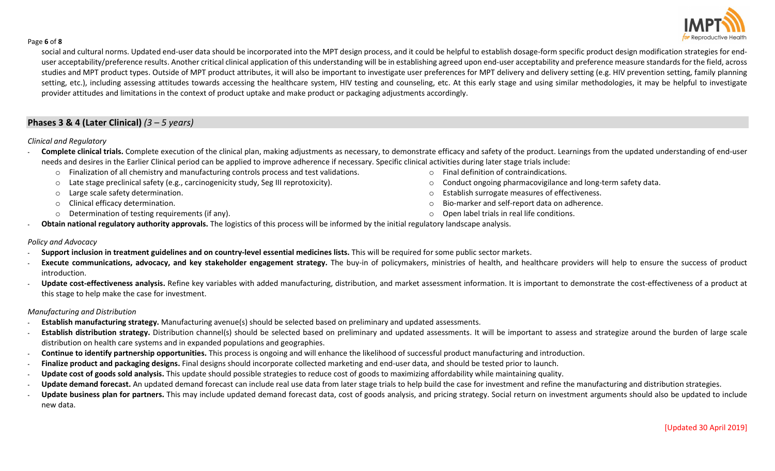

#### Page 6 of 8

social and cultural norms. Updated end-user data should be incorporated into the MPT design process, and it could be helpful to establish dosage-form specific product design modification strategies for enduser acceptability/preference results. Another critical clinical application of this understanding will be in establishing agreed upon end-user acceptability and preference measure standards for the field, across studies and MPT product types. Outside of MPT product attributes, it will also be important to investigate user preferences for MPT delivery and delivery setting (e.g. HIV prevention setting, family planning setting, etc.), including assessing attitudes towards accessing the healthcare system, HIV testing and counseling, etc. At this early stage and using similar methodologies, it may be helpful to investigate provider attitudes and limitations in the context of product uptake and make product or packaging adjustments accordingly.

# Phases 3 & 4 (Later Clinical)  $(3 - 5 \text{ years})$

## Clinical and Regulatory

- Complete clinical trials. Complete execution of the clinical plan, making adjustments as necessary, to demonstrate efficacy and safety of the product. Learnings from the updated understanding of end-user needs and desires in the Earlier Clinical period can be applied to improve adherence if necessary. Specific clinical activities during later stage trials include:
	- $\circ$  Finalization of all chemistry and manufacturing controls process and test validations.
	- o Late stage preclinical safety (e.g., carcinogenicity study, Seg III reprotoxicity).
	- o Large scale safety determination.
	- o Clinical efficacy determination.
	- o Determination of testing requirements (if any).
- o Final definition of contraindications.
- o Conduct ongoing pharmacovigilance and long-term safety data.
- o Establish surrogate measures of effectiveness.
- o Bio-marker and self-report data on adherence.
- o Open label trials in real life conditions.
- Obtain national regulatory authority approvals. The logistics of this process will be informed by the initial regulatory landscape analysis.

## Policy and Advocacy

- Support inclusion in treatment guidelines and on country-level essential medicines lists. This will be required for some public sector markets.
- Execute communications, advocacy, and key stakeholder engagement strategy. The buy-in of policymakers, ministries of health, and healthcare providers will help to ensure the success of product introduction.
- Update cost-effectiveness analysis. Refine key variables with added manufacturing, distribution, and market assessment information. It is important to demonstrate the cost-effectiveness of a product at this stage to help make the case for investment.

### Manufacturing and Distribution

- Establish manufacturing strategy. Manufacturing avenue(s) should be selected based on preliminary and updated assessments.
- Establish distribution strategy. Distribution channel(s) should be selected based on preliminary and updated assessments. It will be important to assess and strategize around the burden of large scale distribution on health care systems and in expanded populations and geographies.
- Continue to identify partnership opportunities. This process is ongoing and will enhance the likelihood of successful product manufacturing and introduction.
- Finalize product and packaging designs. Final designs should incorporate collected marketing and end-user data, and should be tested prior to launch.
- Update cost of goods sold analysis. This update should possible strategies to reduce cost of goods to maximizing affordability while maintaining quality.
- Update demand forecast. An updated demand forecast can include real use data from later stage trials to help build the case for investment and refine the manufacturing and distribution strategies.
- Update business plan for partners. This may include updated demand forecast data, cost of goods analysis, and pricing strategy. Social return on investment arguments should also be updated to include new data.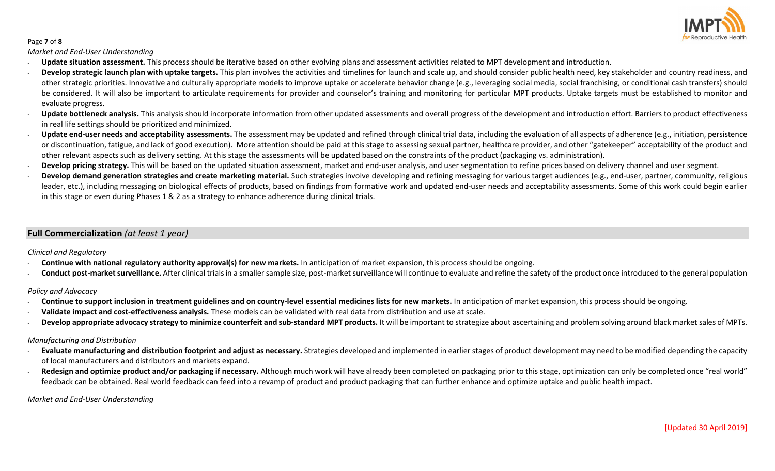

## Page 7 of 8

Market and End-User Understanding

- Update situation assessment. This process should be iterative based on other evolving plans and assessment activities related to MPT development and introduction.
- Develop strategic launch plan with uptake targets. This plan involves the activities and timelines for launch and scale up, and should consider public health need, key stakeholder and country readiness, and other strategic priorities. Innovative and culturally appropriate models to improve uptake or accelerate behavior change (e.g., leveraging social media, social franchising, or conditional cash transfers) should be considered. It will also be important to articulate requirements for provider and counselor's training and monitoring for particular MPT products. Uptake targets must be established to monitor and evaluate progress.
- Update bottleneck analysis. This analysis should incorporate information from other updated assessments and overall progress of the development and introduction effort. Barriers to product effectiveness in real life settings should be prioritized and minimized.
- Update end-user needs and acceptability assessments. The assessment may be updated and refined through clinical trial data, including the evaluation of all aspects of adherence (e.g., initiation, persistence or discontinuation, fatigue, and lack of good execution). More attention should be paid at this stage to assessing sexual partner, healthcare provider, and other "gatekeeper" acceptability of the product and other relevant aspects such as delivery setting. At this stage the assessments will be updated based on the constraints of the product (packaging vs. administration).
- Develop pricing strategy. This will be based on the updated situation assessment, market and end-user analysis, and user segmentation to refine prices based on delivery channel and user segment.
- Develop demand generation strategies and create marketing material. Such strategies involve developing and refining messaging for various target audiences (e.g., end-user, partner, community, religious leader, etc.), including messaging on biological effects of products, based on findings from formative work and updated end-user needs and acceptability assessments. Some of this work could begin earlier in this stage or even during Phases 1 & 2 as a strategy to enhance adherence during clinical trials.

# Full Commercialization (at least 1 year)

Clinical and Regulatory

- Continue with national regulatory authority approval(s) for new markets. In anticipation of market expansion, this process should be ongoing.
- Conduct post-market surveillance. After clinical trials in a smaller sample size, post-market surveillance will continue to evaluate and refine the safety of the product once introduced to the general population

Policy and Advocacy

- Continue to support inclusion in treatment guidelines and on country-level essential medicines lists for new markets. In anticipation of market expansion, this process should be ongoing.
- Validate impact and cost-effectiveness analysis. These models can be validated with real data from distribution and use at scale.
- Develop appropriate advocacy strategy to minimize counterfeit and sub-standard MPT products. It will be important to strategize about ascertaining and problem solving around black market sales of MPTs.

## Manufacturing and Distribution

- Evaluate manufacturing and distribution footprint and adjust as necessary. Strategies developed and implemented in earlier stages of product development may need to be modified depending the capacity of local manufacturers and distributors and markets expand.
- Redesign and optimize product and/or packaging if necessary. Although much work will have already been completed on packaging prior to this stage, optimization can only be completed once "real world" feedback can be obtained. Real world feedback can feed into a revamp of product and product packaging that can further enhance and optimize uptake and public health impact.

Market and End-User Understanding